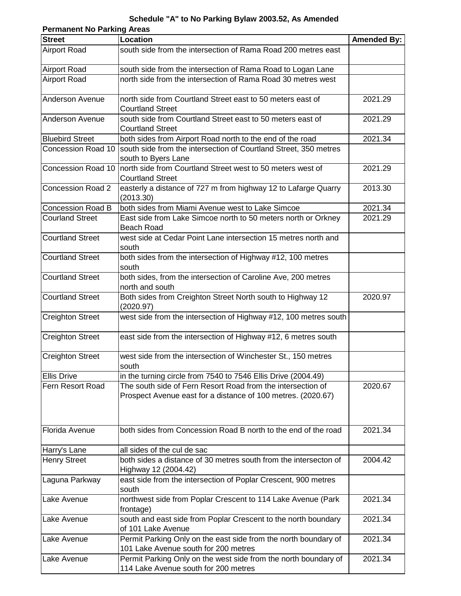## **Schedule "A" to No Parking Bylaw 2003.52, As Amended**

| <b>Permanent No Parking Areas</b> |                                                                                                                             |                    |  |
|-----------------------------------|-----------------------------------------------------------------------------------------------------------------------------|--------------------|--|
| <b>Street</b>                     | <b>Location</b>                                                                                                             | <b>Amended By:</b> |  |
| <b>Airport Road</b>               | south side from the intersection of Rama Road 200 metres east                                                               |                    |  |
| <b>Airport Road</b>               | south side from the intersection of Rama Road to Logan Lane                                                                 |                    |  |
| <b>Airport Road</b>               | north side from the intersection of Rama Road 30 metres west                                                                |                    |  |
| <b>Anderson Avenue</b>            | north side from Courtland Street east to 50 meters east of<br><b>Courtland Street</b>                                       | 2021.29            |  |
| <b>Anderson Avenue</b>            | south side from Courtland Street east to 50 meters east of<br><b>Courtland Street</b>                                       | 2021.29            |  |
| <b>Bluebird Street</b>            | both sides from Airport Road north to the end of the road                                                                   | 2021.34            |  |
|                                   | Concession Road 10 South side from the intersection of Courtland Street, 350 metres<br>south to Byers Lane                  |                    |  |
| Concession Road 10                | north side from Courtland Street west to 50 meters west of<br><b>Courtland Street</b>                                       | 2021.29            |  |
| <b>Concession Road 2</b>          | easterly a distance of 727 m from highway 12 to Lafarge Quarry<br>(2013.30)                                                 | 2013.30            |  |
| <b>Concession Road B</b>          | both sides from Miami Avenue west to Lake Simcoe                                                                            | 2021.34            |  |
| <b>Courland Street</b>            | East side from Lake Simcoe north to 50 meters north or Orkney<br>Beach Road                                                 | 2021.29            |  |
| <b>Courtland Street</b>           | west side at Cedar Point Lane intersection 15 metres north and<br>south                                                     |                    |  |
| <b>Courtland Street</b>           | both sides from the intersection of Highway #12, 100 metres<br>south                                                        |                    |  |
| <b>Courtland Street</b>           | both sides, from the intersection of Caroline Ave, 200 metres<br>north and south                                            |                    |  |
| <b>Courtland Street</b>           | Both sides from Creighton Street North south to Highway 12<br>(2020.97)                                                     | 2020.97            |  |
| <b>Creighton Street</b>           | west side from the intersection of Highway #12, 100 metres south                                                            |                    |  |
| <b>Creighton Street</b>           | east side from the intersection of Highway #12, 6 metres south                                                              |                    |  |
| <b>Creighton Street</b>           | west side from the intersection of Winchester St., 150 metres<br>south                                                      |                    |  |
| <b>Ellis Drive</b>                | in the turning circle from 7540 to 7546 Ellis Drive (2004.49)                                                               |                    |  |
| Fern Resort Road                  | The south side of Fern Resort Road from the intersection of<br>Prospect Avenue east for a distance of 100 metres. (2020.67) | 2020.67            |  |
| Florida Avenue                    | both sides from Concession Road B north to the end of the road                                                              | 2021.34            |  |
| Harry's Lane                      | all sides of the cul de sac                                                                                                 |                    |  |
| <b>Henry Street</b>               | both sides a distance of 30 metres south from the intersecton of<br>Highway 12 (2004.42)                                    | 2004.42            |  |
| Laguna Parkway                    | east side from the intersection of Poplar Crescent, 900 metres<br>south                                                     |                    |  |
| Lake Avenue                       | northwest side from Poplar Crescent to 114 Lake Avenue (Park<br>frontage)                                                   | 2021.34            |  |
| Lake Avenue                       | south and east side from Poplar Crescent to the north boundary<br>of 101 Lake Avenue                                        | 2021.34            |  |
| Lake Avenue                       | Permit Parking Only on the east side from the north boundary of<br>101 Lake Avenue south for 200 metres                     | 2021.34            |  |
| Lake Avenue                       | Permit Parking Only on the west side from the north boundary of<br>114 Lake Avenue south for 200 metres                     | 2021.34            |  |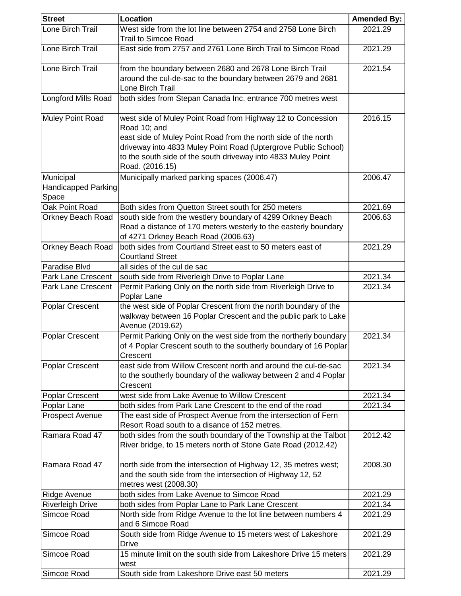| <b>Street</b>                    | <b>Location</b>                                                                                                                                                                                                                                                                                     | <b>Amended By:</b> |
|----------------------------------|-----------------------------------------------------------------------------------------------------------------------------------------------------------------------------------------------------------------------------------------------------------------------------------------------------|--------------------|
| Lone Birch Trail                 | West side from the lot line between 2754 and 2758 Lone Birch<br><b>Trail to Simcoe Road</b>                                                                                                                                                                                                         | 2021.29            |
| Lone Birch Trail                 | East side from 2757 and 2761 Lone Birch Trail to Simcoe Road                                                                                                                                                                                                                                        | 2021.29            |
| Lone Birch Trail                 | from the boundary between 2680 and 2678 Lone Birch Trail<br>around the cul-de-sac to the boundary between 2679 and 2681<br>Lone Birch Trail                                                                                                                                                         | 2021.54            |
| <b>Longford Mills Road</b>       | both sides from Stepan Canada Inc. entrance 700 metres west                                                                                                                                                                                                                                         |                    |
| <b>Muley Point Road</b>          | west side of Muley Point Road from Highway 12 to Concession<br>Road 10; and<br>east side of Muley Point Road from the north side of the north<br>driveway into 4833 Muley Point Road (Uptergrove Public School)<br>to the south side of the south driveway into 4833 Muley Point<br>Road. (2016.15) | 2016.15            |
| Municipal<br>Handicapped Parking | Municipally marked parking spaces (2006.47)                                                                                                                                                                                                                                                         | 2006.47            |
| Space                            |                                                                                                                                                                                                                                                                                                     |                    |
| Oak Point Road                   | Both sides from Quetton Street south for 250 meters                                                                                                                                                                                                                                                 | 2021.69            |
| <b>Orkney Beach Road</b>         | south side from the westlery boundary of 4299 Orkney Beach<br>Road a distance of 170 meters westerly to the easterly boundary<br>of 4271 Orkney Beach Road (2006.63)                                                                                                                                | 2006.63            |
| <b>Orkney Beach Road</b>         | both sides from Courtland Street east to 50 meters east of<br><b>Courtland Street</b>                                                                                                                                                                                                               | 2021.29            |
| Paradise Blvd                    | all sides of the cul de sac                                                                                                                                                                                                                                                                         |                    |
| Park Lane Crescent               | south side from Riverleigh Drive to Poplar Lane                                                                                                                                                                                                                                                     | 2021.34            |
| <b>Park Lane Crescent</b>        | Permit Parking Only on the north side from Riverleigh Drive to<br>Poplar Lane                                                                                                                                                                                                                       | 2021.34            |
| <b>Poplar Crescent</b>           | the west side of Poplar Crescent from the north boundary of the<br>walkway between 16 Poplar Crescent and the public park to Lake<br>Avenue (2019.62)                                                                                                                                               |                    |
| <b>Poplar Crescent</b>           | Permit Parking Only on the west side from the northerly boundary<br>of 4 Poplar Crescent south to the southerly boundary of 16 Poplar<br>Crescent                                                                                                                                                   | 2021.34            |
| <b>Poplar Crescent</b>           | east side from Willow Crescent north and around the cul-de-sac<br>to the southerly boundary of the walkway between 2 and 4 Poplar<br>Crescent                                                                                                                                                       | 2021.34            |
| <b>Poplar Crescent</b>           | west side from Lake Avenue to Willow Crescent                                                                                                                                                                                                                                                       | 2021.34            |
| Poplar Lane                      | both sides from Park Lane Crescent to the end of the road                                                                                                                                                                                                                                           | 2021.34            |
| <b>Prospect Avenue</b>           | The east side of Prospect Avenue from the intersection of Fern<br>Resort Road south to a disance of 152 metres.                                                                                                                                                                                     |                    |
| Ramara Road 47                   | both sides from the south boundary of the Township at the Talbot<br>River bridge, to 15 meters north of Stone Gate Road (2012.42)                                                                                                                                                                   | 2012.42            |
| Ramara Road 47                   | north side from the intersection of Highway 12, 35 metres west;<br>and the south side from the intersection of Highway 12, 52<br>metres west (2008.30)                                                                                                                                              | 2008.30            |
| Ridge Avenue                     | both sides from Lake Avenue to Simcoe Road                                                                                                                                                                                                                                                          | 2021.29            |
| <b>Riverleigh Drive</b>          | both sides from Poplar Lane to Park Lane Crescent                                                                                                                                                                                                                                                   | 2021.34            |
| Simcoe Road                      | North side from Ridge Avenue to the lot line between numbers 4<br>and 6 Simcoe Road                                                                                                                                                                                                                 | 2021.29            |
| Simcoe Road                      | South side from Ridge Avenue to 15 meters west of Lakeshore<br><b>Drive</b>                                                                                                                                                                                                                         | 2021.29            |
| Simcoe Road                      | 15 minute limit on the south side from Lakeshore Drive 15 meters<br>west                                                                                                                                                                                                                            | 2021.29            |
| Simcoe Road                      | South side from Lakeshore Drive east 50 meters                                                                                                                                                                                                                                                      | 2021.29            |